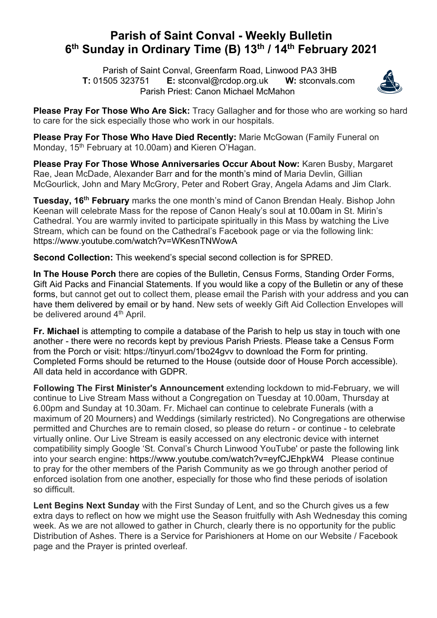## **Parish of Saint Conval - Weekly Bulletin 6th Sunday in Ordinary Time (B) 13th / 14th February 2021**

 Parish of Saint Conval, Greenfarm Road, Linwood PA3 3HB **T:** 01505 323751 **E:** stconval@rcdop.org.uk **W:** stconvals.com Parish Priest: Canon Michael McMahon



**Please Pray For Those Who Are Sick:** Tracy Gallagher and for those who are working so hard to care for the sick especially those who work in our hospitals.

**Please Pray For Those Who Have Died Recently:** Marie McGowan (Family Funeral on Monday, 15<sup>th</sup> February at 10.00am) and Kieren O'Hagan.

**Please Pray For Those Whose Anniversaries Occur About Now:** Karen Busby, Margaret Rae, Jean McDade, Alexander Barr and for the month's mind of Maria Devlin, Gillian McGourlick, John and Mary McGrory, Peter and Robert Gray, Angela Adams and Jim Clark.

**Tuesday, 16th February** marks the one month's mind of Canon Brendan Healy. Bishop John Keenan will celebrate Mass for the repose of Canon Healy's soul at 10.00am in St. Mirin's Cathedral. You are warmly invited to participate spiritually in this Mass by watching the Live Stream, which can be found on the Cathedral's Facebook page or via the following link: https://www.youtube.com/watch?v=WKesnTNWowA

**Second Collection:** This weekend's special second collection is for SPRED.

**In The House Porch** there are copies of the Bulletin, Census Forms, Standing Order Forms, Gift Aid Packs and Financial Statements. If you would like a copy of the Bulletin or any of these forms, but cannot get out to collect them, please email the Parish with your address and you can have them delivered by email or by hand. New sets of weekly Gift Aid Collection Envelopes will be delivered around 4<sup>th</sup> April.

**Fr. Michael** is attempting to compile a database of the Parish to help us stay in touch with one another - there were no records kept by previous Parish Priests. Please take a Census Form from the Porch or visit: https://tinyurl.com/1bo24gvv to download the Form for printing. Completed Forms should be returned to the House (outside door of House Porch accessible). All data held in accordance with GDPR.

**Following The First Minister's Announcement** extending lockdown to mid-February, we will continue to Live Stream Mass without a Congregation on Tuesday at 10.00am, Thursday at 6.00pm and Sunday at 10.30am. Fr. Michael can continue to celebrate Funerals (with a maximum of 20 Mourners) and Weddings (similarly restricted). No Congregations are otherwise permitted and Churches are to remain closed, so please do return - or continue - to celebrate virtually online. Our Live Stream is easily accessed on any electronic device with internet compatibility simply Google 'St. Conval's Church Linwood YouTube' or paste the following link into your search engine: https://www.youtube.com/watch?v=eyfCJEhpkW4 Please continue to pray for the other members of the Parish Community as we go through another period of enforced isolation from one another, especially for those who find these periods of isolation so difficult.

**Lent Begins Next Sunday** with the First Sunday of Lent, and so the Church gives us a few extra days to reflect on how we might use the Season fruitfully with Ash Wednesday this coming week. As we are not allowed to gather in Church, clearly there is no opportunity for the public Distribution of Ashes. There is a Service for Parishioners at Home on our Website / Facebook page and the Prayer is printed overleaf.